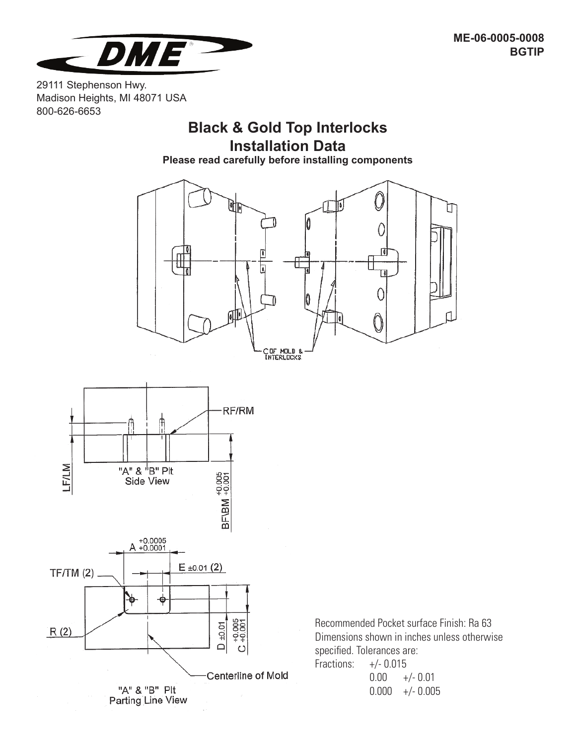

29111 Stephenson Hwy. Madison Heights, MI 48071 USA 800-626-6653

# **Black & Gold Top Interlocks Installation Data**

**Please read carefully before installing components**





Recommended Pocket surface Finish: Ra 63 Dimensions shown in inches unless otherwise specified. Tolerances are: **Fraction** 

| Fractions: | $+/-$ U.U I 5 |                   |  |  |  |
|------------|---------------|-------------------|--|--|--|
|            | $0.00\,$      | +/- 0.01          |  |  |  |
|            |               | $0.000 +/- 0.005$ |  |  |  |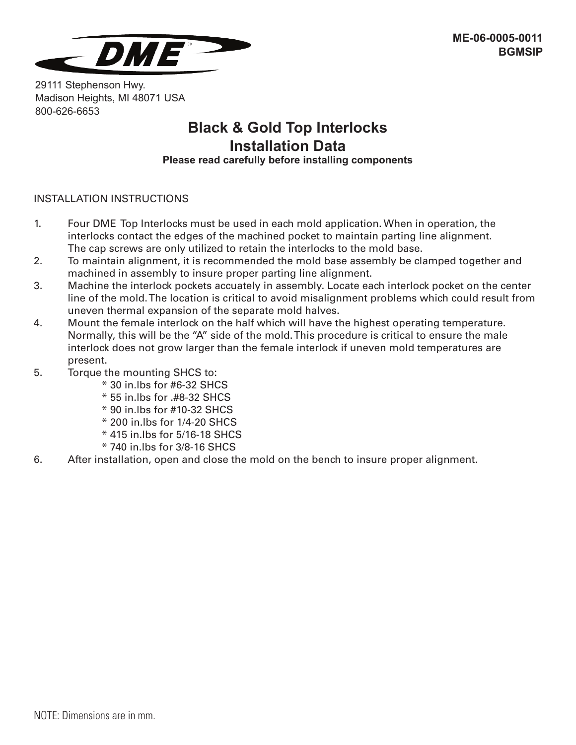

29111 Stephenson Hwy. Madison Heights, MI 48071 USA 800-626-6653

### **Black & Gold Top Interlocks Installation Data Please read carefully before installing components**

#### INSTALLATION INSTRUCTIONS

- 1. Four DME Top Interlocks must be used in each mold application. When in operation, the interlocks contact the edges of the machined pocket to maintain parting line alignment. The cap screws are only utilized to retain the interlocks to the mold base.
- 2. To maintain alignment, it is recommended the mold base assembly be clamped together and machined in assembly to insure proper parting line alignment.
- 3. Machine the interlock pockets accuately in assembly. Locate each interlock pocket on the center line of the mold. The location is critical to avoid misalignment problems which could result from uneven thermal expansion of the separate mold halves.
- 4. Mount the female interlock on the half which will have the highest operating temperature. Normally, this will be the "A" side of the mold. This procedure is critical to ensure the male interlock does not grow larger than the female interlock if uneven mold temperatures are present.
- 5. Torque the mounting SHCS to:
	- \* 30 in.lbs for #6-32 SHCS
	- \* 55 in.lbs for .#8-32 SHCS
	- \* 90 in.lbs for #10-32 SHCS
	- \* 200 in.lbs for 1/4-20 SHCS
	- \* 415 in.lbs for 5/16-18 SHCS
	- \* 740 in.lbs for 3/8-16 SHCS
- 6. After installation, open and close the mold on the bench to insure proper alignment.